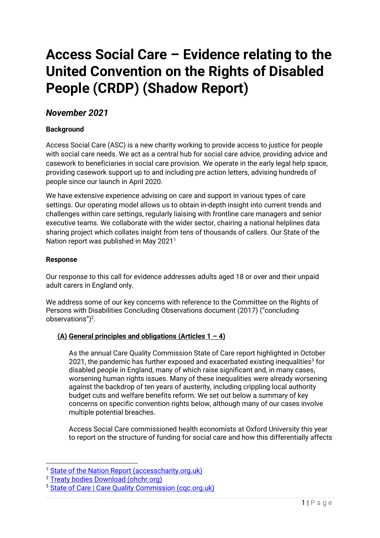# **Access Social Care – Evidence relating to the United Convention on the Rights of Disabled People (CRDP) (Shadow Report)**

# *November 2021*

# **Background**

Access Social Care (ASC) is a new charity working to provide access to justice for people with social care needs. We act as a central hub for social care advice, providing advice and casework to beneficiaries in social care provision. We operate in the early legal help space, providing casework support up to and including pre action letters, advising hundreds of people since our launch in April 2020.

We have extensive experience advising on care and support in various types of care settings. Our operating model allows us to obtain in-depth insight into current trends and challenges within care settings, regularly liaising with frontline care managers and senior executive teams. We collaborate with the wider sector, chairing a national helplines data sharing project which collates insight from tens of thousands of callers. Our State of the Nation report was published in May 2021<sup>1</sup>

#### **Response**

Our response to this call for evidence addresses adults aged 18 or over and their unpaid adult carers in England only.

We address some of our key concerns with reference to the Committee on the Rights of Persons with Disabilities Concluding Observations document (2017) ("concluding observations") $<sup>2</sup>$ .</sup>

### **(A) General principles and obligations (Articles 1 – 4)**

As the annual Care Quality Commission State of Care report highlighted in October 2021, the pandemic has further exposed and exacerbated existing inequalities<sup>3</sup> for disabled people in England, many of which raise significant and, in many cases, worsening human rights issues. Many of these inequalities were already worsening against the backdrop of ten years of austerity, including crippling local authority budget cuts and welfare benefits reform. We set out below a summary of key concerns on specific convention rights below, although many of our cases involve multiple potential breaches.

Access Social Care commissioned health economists at Oxford University this year to report on the structure of funding for social care and how this differentially affects

<sup>&</sup>lt;sup>1</sup> [State of the Nation Report \(accesscharity.org.uk\)](https://www.accesscharity.org.uk/news-blog/state-of-the-nation-report)

<sup>2</sup> [Treaty bodies Download \(ohchr.org\)](https://tbinternet.ohchr.org/_layouts/15/treatybodyexternal/Download.aspx?symbolno=CRPD%2fC%2fGBR%2fCO%2f1&Lang=en)

<sup>&</sup>lt;sup>3</sup> State of Care | Care Quality Commission (cgc.org.uk)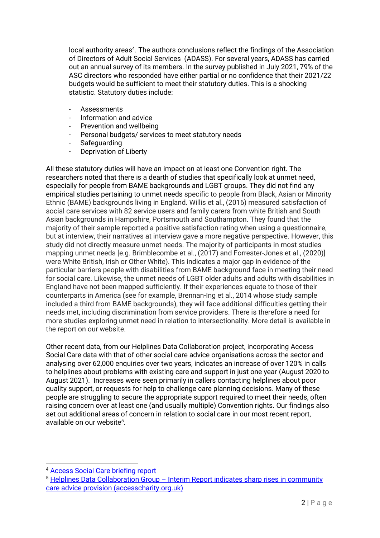local authority areas<sup>4</sup>. The authors conclusions reflect the findings of the Association of Directors of Adult Social Services (ADASS). For several years, ADASS has carried out an annual survey of its members. In the survey published in July 2021, 79% of the ASC directors who responded have either partial or no confidence that their 2021/22 budgets would be sufficient to meet their statutory duties. This is a shocking statistic. Statutory duties include:

- Assessments
- Information and advice
- Prevention and wellbeing
- Personal budgets/ services to meet statutory needs
- **Safeguarding**
- Deprivation of Liberty

All these statutory duties will have an impact on at least one Convention right. The researchers noted that there is a dearth of studies that specifically look at unmet need, especially for people from BAME backgrounds and LGBT groups. They did not find any empirical studies pertaining to unmet needs specific to people from Black, Asian or Minority Ethnic (BAME) backgrounds living in England. Willis et al., (2016) measured satisfaction of social care services with 82 service users and family carers from white British and South Asian backgrounds in Hampshire, Portsmouth and Southampton. They found that the majority of their sample reported a positive satisfaction rating when using a questionnaire, but at interview, their narratives at interview gave a more negative perspective. However, this study did not directly measure unmet needs. The majority of participants in most studies mapping unmet needs [e.g. Brimblecombe et al., (2017) and Forrester-Jones et al., (2020)] were White British, Irish or Other White). This indicates a major gap in evidence of the particular barriers people with disabilities from BAME background face in meeting their need for social care. Likewise, the unmet needs of LGBT older adults and adults with disabilities in England have not been mapped sufficiently. If their experiences equate to those of their counterparts in America (see for example, Brennan-Ing et al., 2014 whose study sample included a third from BAME backgrounds), they will face additional difficulties getting their needs met, including discrimination from service providers. There is therefore a need for more studies exploring unmet need in relation to intersectionality. More detail is available in the report on our website.

Other recent data, from our Helplines Data Collaboration project, incorporating Access Social Care data with that of other social care advice organisations across the sector and analysing over 62,000 enquiries over two years, indicates an increase of over 120% in calls to helplines about problems with existing care and support in just one year (August 2020 to August 2021). Increases were seen primarily in callers contacting helplines about poor quality support, or requests for help to challenge care planning decisions. Many of these people are struggling to secure the appropriate support required to meet their needs, often raising concern over at least one (and usually multiple) Convention rights. Our findings also set out additional areas of concern in relation to social care in our most recent report, available on our website<sup>5</sup>.

<sup>4</sup> [Access Social Care briefing report](https://static1.squarespace.com/static/5f2160ae3e84ef21653b8190/t/60952a7b9c23cb283df97c55/1620388476244/Access+Social+Care+Briefing+Report+Final.pdf) 

<sup>5</sup> Helplines Data Collaboration Group – [Interim Report indicates sharp rises in community](https://www.accesscharity.org.uk/news-blog/helplines-data-collaboration-group-interim-report-indicates-sharp-rises-in-community-care-advice-provision)  [care advice provision \(accesscharity.org.uk\)](https://www.accesscharity.org.uk/news-blog/helplines-data-collaboration-group-interim-report-indicates-sharp-rises-in-community-care-advice-provision)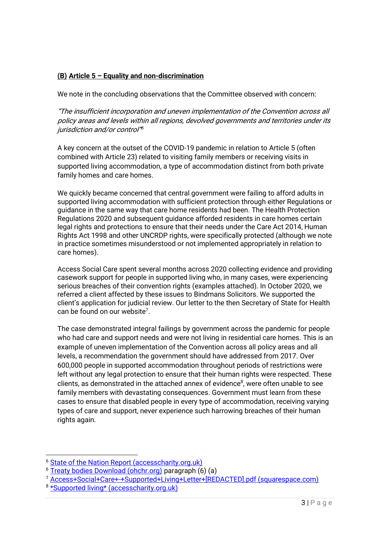## **(B) Article 5 – Equality and non-discrimination**

We note in the concluding observations that the Committee observed with concern:

"The insufficient incorporation and uneven implementation of the Convention across all policy areas and levels within all regions, devolved governments and territories under its jurisdiction and/or control" 6

A key concern at the outset of the COVID-19 pandemic in relation to Article 5 (often combined with Article 23) related to visiting family members or receiving visits in supported living accommodation, a type of accommodation distinct from both private family homes and care homes.

We quickly became concerned that central government were failing to afford adults in supported living accommodation with sufficient protection through either Regulations or guidance in the same way that care home residents had been. The Health Protection Regulations 2020 and subsequent guidance afforded residents in care homes certain legal rights and protections to ensure that their needs under the Care Act 2014, Human Rights Act 1998 and other UNCRDP rights, were specifically protected (although we note in practice sometimes misunderstood or not implemented appropriately in relation to care homes).

Access Social Care spent several months across 2020 collecting evidence and providing casework support for people in supported living who, in many cases, were experiencing serious breaches of their convention rights (examples attached). In October 2020, we referred a client affected by these issues to Bindmans Solicitors. We supported the client's application for judicial review. Our letter to the then Secretary of State for Health can be found on our website<sup>7</sup>.

The case demonstrated integral failings by government across the pandemic for people who had care and support needs and were not living in residential care homes. This is an example of uneven implementation of the Convention across all policy areas and all levels, a recommendation the government should have addressed from 2017. Over 600,000 people in supported accommodation throughout periods of restrictions were left without any legal protection to ensure that their human rights were respected. These clients, as demonstrated in the attached annex of evidence<sup>8</sup>, were often unable to see family members with devastating consequences. Government must learn from these cases to ensure that disabled people in every type of accommodation, receiving varying types of care and support, never experience such harrowing breaches of their human rights again.

<sup>7</sup> [Access+Social+Care+-+Supported+Living+Letter+\[REDACTED\].pdf \(squarespace.com\)](https://static1.squarespace.com/static/5f2160ae3e84ef21653b8190/t/5fcaaa2a9c4e6e5b1e0bc690/1607117355341/Access+Social+Care+-+Supported+Living+Letter+%5BREDACTED%5D.pdf)

<sup>&</sup>lt;sup>6</sup> [State of the Nation Report \(accesscharity.org.uk\)](https://www.accesscharity.org.uk/news-blog/state-of-the-nation-report)

<sup>6</sup> [Treaty bodies Download \(ohchr.org\)](https://tbinternet.ohchr.org/_layouts/15/treatybodyexternal/Download.aspx?symbolno=CRPD%2fC%2fGBR%2fCO%2f1&Lang=en) paragraph (6) (a)

<sup>8</sup> [\\*Supported living\\* \(accesscharity.org.uk\)](https://www.accesscharity.org.uk/news-blog/a5u2a5qiym5i6023niuto1g60hhfcy)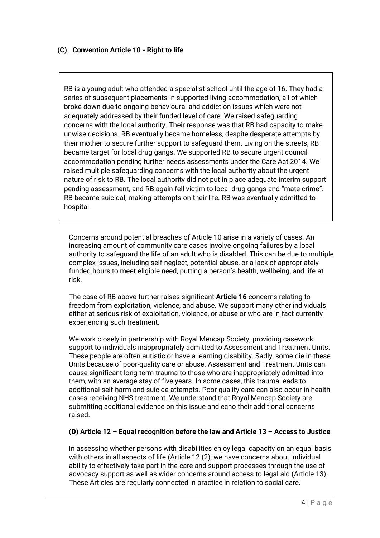RB is a young adult who attended a specialist school until the age of 16. They had a series of subsequent placements in supported living accommodation, all of which broke down due to ongoing behavioural and addiction issues which were not adequately addressed by their funded level of care. We raised safeguarding concerns with the local authority. Their response was that RB had capacity to make unwise decisions. RB eventually became homeless, despite desperate attempts by their mother to secure further support to safeguard them. Living on the streets, RB became target for local drug gangs. We supported RB to secure urgent council accommodation pending further needs assessments under the Care Act 2014. We raised multiple safeguarding concerns with the local authority about the urgent nature of risk to RB. The local authority did not put in place adequate interim support pending assessment, and RB again fell victim to local drug gangs and "mate crime". RB became suicidal, making attempts on their life. RB was eventually admitted to hospital.

Concerns around potential breaches of Article 10 arise in a variety of cases. An increasing amount of community care cases involve ongoing failures by a local authority to safeguard the life of an adult who is disabled. This can be due to multiple complex issues, including self-neglect, potential abuse, or a lack of appropriately funded hours to meet eligible need, putting a person's health, wellbeing, and life at risk.

The case of RB above further raises significant **Article 16** concerns relating to freedom from exploitation, violence, and abuse. We support many other individuals either at serious risk of exploitation, violence, or abuse or who are in fact currently experiencing such treatment.

We work closely in partnership with Royal Mencap Society, providing casework support to individuals inappropriately admitted to Assessment and Treatment Units. These people are often autistic or have a learning disability. Sadly, some die in these Units because of poor-quality care or abuse. Assessment and Treatment Units can cause significant long-term trauma to those who are inappropriately admitted into them, with an average stay of five years. In some cases, this trauma leads to additional self-harm and suicide attempts. Poor quality care can also occur in health cases receiving NHS treatment. We understand that Royal Mencap Society are submitting additional evidence on this issue and echo their additional concerns raised.

### **(D) Article 12 – Equal recognition before the law and Article 13 – Access to Justice**

In assessing whether persons with disabilities enjoy legal capacity on an equal basis with others in all aspects of life (Article 12 (2), we have concerns about individual ability to effectively take part in the care and support processes through the use of advocacy support as well as wider concerns around access to legal aid (Article 13). These Articles are regularly connected in practice in relation to social care.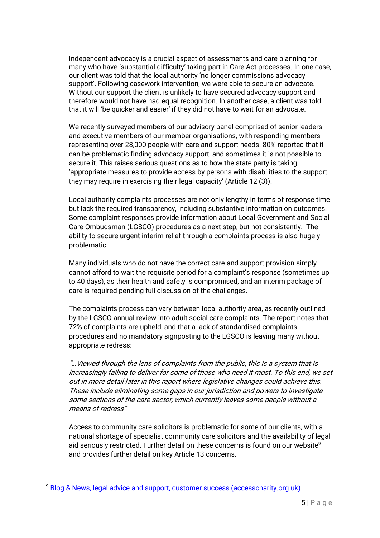Independent advocacy is a crucial aspect of assessments and care planning for many who have 'substantial difficulty' taking part in Care Act processes. In one case, our client was told that the local authority 'no longer commissions advocacy support'. Following casework intervention, we were able to secure an advocate. Without our support the client is unlikely to have secured advocacy support and therefore would not have had equal recognition. In another case, a client was told that it will 'be quicker and easier' if they did not have to wait for an advocate.

We recently surveyed members of our advisory panel comprised of senior leaders and executive members of our member organisations, with responding members representing over 28,000 people with care and support needs. 80% reported that it can be problematic finding advocacy support, and sometimes it is not possible to secure it. This raises serious questions as to how the state party is taking 'appropriate measures to provide access by persons with disabilities to the support they may require in exercising their legal capacity' (Article 12 (3)).

Local authority complaints processes are not only lengthy in terms of response time but lack the required transparency, including substantive information on outcomes. Some complaint responses provide information about Local Government and Social Care Ombudsman (LGSCO) procedures as a next step, but not consistently. The ability to secure urgent interim relief through a complaints process is also hugely problematic.

Many individuals who do not have the correct care and support provision simply cannot afford to wait the requisite period for a complaint's response (sometimes up to 40 days), as their health and safety is compromised, and an interim package of care is required pending full discussion of the challenges.

The complaints process can vary between local authority area, as recently outlined by the LGSCO annual review into adult social care complaints. The report notes that 72% of complaints are upheld, and that a lack of standardised complaints procedures and no mandatory signposting to the LGSCO is leaving many without appropriate redress:

"…Viewed through the lens of complaints from the public, this is a system that is increasingly failing to deliver for some of those who need it most. To this end, we set out in more detail later in this report where legislative changes could achieve this. These include eliminating some gaps in our jurisdiction and powers to investigate some sections of the care sector, which currently leaves some people without a means of redress"

Access to community care solicitors is problematic for some of our clients, with a national shortage of specialist community care solicitors and the availability of legal aid seriously restricted. Further detail on these concerns is found on our website<sup>9</sup> and provides further detail on key Article 13 concerns.

<sup>&</sup>lt;sup>9</sup> [Blog & News, legal advice and support, customer success \(accesscharity.org.uk\)](https://www.accesscharity.org.uk/news)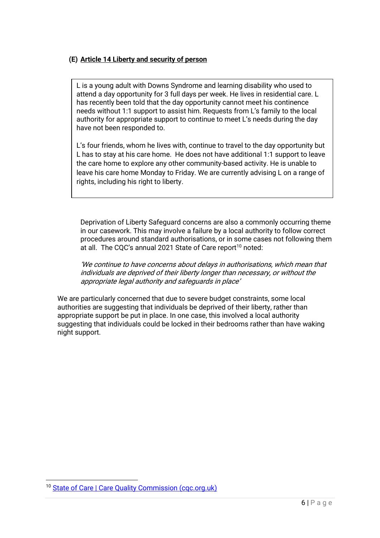### **(E) Article 14 Liberty and security of person**

L is a young adult with Downs Syndrome and learning disability who used to attend a day opportunity for 3 full days per week. He lives in residential care. L has recently been told that the day opportunity cannot meet his continence needs without 1:1 support to assist him. Requests from L's family to the local authority for appropriate support to continue to meet L's needs during the day have not been responded to.

L's four friends, whom he lives with, continue to travel to the day opportunity but L has to stay at his care home. He does not have additional 1:1 support to leave the care home to explore any other community-based activity. He is unable to leave his care home Monday to Friday. We are currently advising L on a range of rights, including his right to liberty.

Deprivation of Liberty Safeguard concerns are also a commonly occurring theme in our casework. This may involve a failure by a local authority to follow correct procedures around standard authorisations, or in some cases not following them at all. The CQC's annual 2021 State of Care report<sup>10</sup> noted:

'We continue to have concerns about delays in authorisations, which mean that individuals are deprived of their liberty longer than necessary, or without the appropriate legal authority and safeguards in place'

We are particularly concerned that due to severe budget constraints, some local authorities are suggesting that individuals be deprived of their liberty, rather than appropriate support be put in place. In one case, this involved a local authority suggesting that individuals could be locked in their bedrooms rather than have waking night support.

<sup>&</sup>lt;sup>10</sup> State of Care | Care Quality Commission (cgc.org.uk)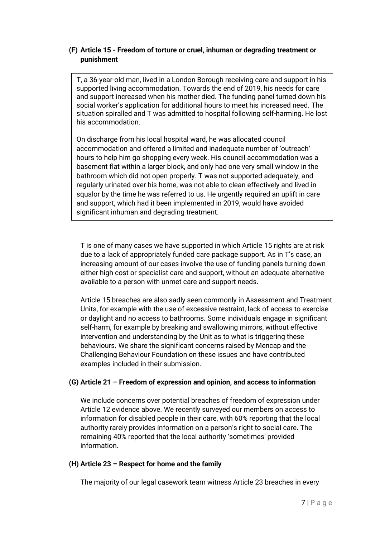#### **(F) Article 15 - Freedom of torture or cruel, inhuman or degrading treatment or punishment**

T, a 36-year-old man, lived in a London Borough receiving care and support in his supported living accommodation. Towards the end of 2019, his needs for care and support increased when his mother died. The funding panel turned down his social worker's application for additional hours to meet his increased need. The situation spiralled and T was admitted to hospital following self-harming. He lost his accommodation.

On discharge from his local hospital ward, he was allocated council accommodation and offered a limited and inadequate number of 'outreach' hours to help him go shopping every week. His council accommodation was a basement flat within a larger block, and only had one very small window in the bathroom which did not open properly. T was not supported adequately, and regularly urinated over his home, was not able to clean effectively and lived in squalor by the time he was referred to us. He urgently required an uplift in care and support, which had it been implemented in 2019, would have avoided significant inhuman and degrading treatment.

T is one of many cases we have supported in which Article 15 rights are at risk due to a lack of appropriately funded care package support. As in T's case, an increasing amount of our cases involve the use of funding panels turning down either high cost or specialist care and support, without an adequate alternative available to a person with unmet care and support needs.

Article 15 breaches are also sadly seen commonly in Assessment and Treatment Units, for example with the use of excessive restraint, lack of access to exercise or daylight and no access to bathrooms. Some individuals engage in significant self-harm, for example by breaking and swallowing mirrors, without effective intervention and understanding by the Unit as to what is triggering these behaviours. We share the significant concerns raised by Mencap and the Challenging Behaviour Foundation on these issues and have contributed examples included in their submission.

### **(G) Article 21 – Freedom of expression and opinion, and access to information**

We include concerns over potential breaches of freedom of expression under Article 12 evidence above. We recently surveyed our members on access to information for disabled people in their care, with 60% reporting that the local authority rarely provides information on a person's right to social care. The remaining 40% reported that the local authority 'sometimes' provided information.

#### **(H) Article 23 – Respect for home and the family**

The majority of our legal casework team witness Article 23 breaches in every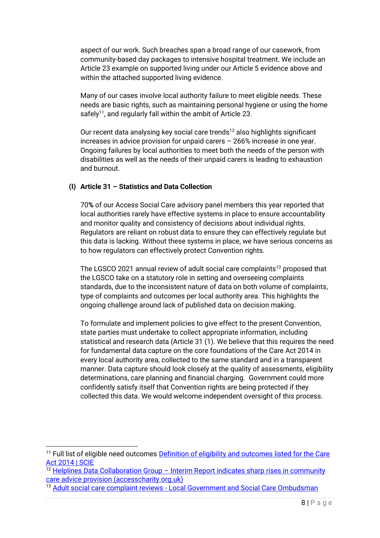aspect of our work. Such breaches span a broad range of our casework, from community-based day packages to intensive hospital treatment. We include an Article 23 example on supported living under our Article 5 evidence above and within the attached supported living evidence.

Many of our cases involve local authority failure to meet eligible needs. These needs are basic rights, such as maintaining personal hygiene or using the home safely<sup>11</sup>, and regularly fall within the ambit of Article 23.

Our recent data analysing key social care trends<sup>12</sup> also highlights significant increases in advice provision for unpaid carers – 266% increase in one year. Ongoing failures by local authorities to meet both the needs of the person with disabilities as well as the needs of their unpaid carers is leading to exhaustion and burnout.

### **(I) Article 31 – Statistics and Data Collection**

70**%** of our Access Social Care advisory panel members this year reported that local authorities rarely have effective systems in place to ensure accountability and monitor quality and consistency of decisions about individual rights. Regulators are reliant on robust data to ensure they can effectively regulate but this data is lacking. Without these systems in place, we have serious concerns as to how regulators can effectively protect Convention rights.

The LGSCO 2021 annual review of adult social care complaints<sup>13</sup> proposed that the LGSCO take on a statutory role in setting and overseeing complaints standards, due to the inconsistent nature of data on both volume of complaints, type of complaints and outcomes per local authority area. This highlights the ongoing challenge around lack of published data on decision making.

To formulate and implement policies to give effect to the present Convention, state parties must undertake to collect appropriate information, including statistical and research data (Article 31 (1). We believe that this requires the need for fundamental data capture on the core foundations of the Care Act 2014 in every local authority area, collected to the same standard and in a transparent manner. Data capture should look closely at the quality of assessments, eligibility determinations, care planning and financial charging. Government could more confidently satisfy itself that Convention rights are being protected if they collected this data. We would welcome independent oversight of this process.

<sup>12</sup> Helplines Data Collaboration Group - Interim Report indicates sharp rises in community [care advice provision \(accesscharity.org.uk\)](https://www.accesscharity.org.uk/news-blog/helplines-data-collaboration-group-interim-report-indicates-sharp-rises-in-community-care-advice-provision)

<sup>&</sup>lt;sup>11</sup> Full list of eligible need outcomes Definition of eligibility and outcomes listed for the Care [Act 2014 | SCIE](https://www.scie.org.uk/care-act-2014/assessment-and-eligibility/eligibility/definition-outcomes)

<sup>&</sup>lt;sup>13</sup> Adult social care complaint reviews - [Local Government and Social Care Ombudsman](https://www.lgo.org.uk/information-centre/reports/annual-review-reports/adult-social-care-reviews)